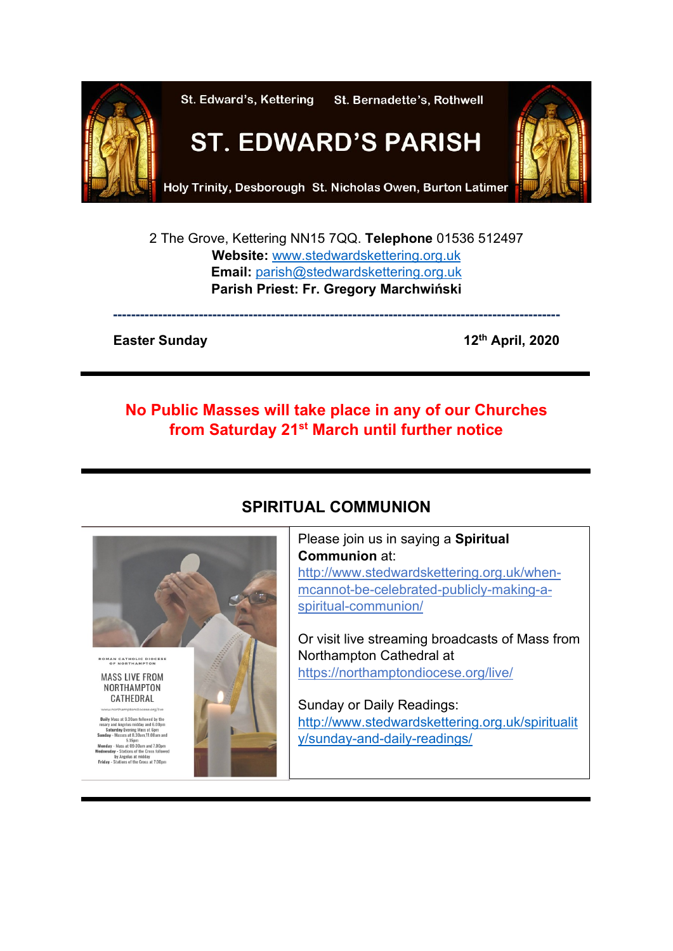

2 The Grove, Kettering NN15 7QQ. **Telephone** 01536 512497 **Website:** [www.stedwardskettering.org.uk](http://www.stedwardskettering.org.uk/) **Email:** [parish@stedwardskettering.org.uk](mailto:parish@stedwardskettering.org.uk) **Parish Priest: Fr. Gregory Marchwiński**

**---------------------------------------------------------------------------------------------------**

#### **Easter Sunday** 12<sup>th</sup> April, 2020

# **No Public Masses will take place in any of our Churches from Saturday 21st March until further notice**



# **SPIRITUAL COMMUNION**

Ļ

Please join us in saying a **Spiritual Communion** at: [http://www.stedwardskettering.org.uk/when](http://www.stedwardskettering.org.uk/when-mass-cannot-be-celebrated-publicly-making-a-spiritual-communion/)[mcannot-be-celebrated-publicly-making-a](http://www.stedwardskettering.org.uk/when-mass-cannot-be-celebrated-publicly-making-a-spiritual-communion/)[spiritual-communion/](http://www.stedwardskettering.org.uk/when-mass-cannot-be-celebrated-publicly-making-a-spiritual-communion/)

Or visit live streaming broadcasts of Mass from Northampton Cathedral at <https://northamptondiocese.org/live/>

Sunday or Daily Readings: [http://www.stedwardskettering.org.uk/spiritualit](http://www.stedwardskettering.org.uk/spirituality/sunday-and-daily-readings/) [y/sunday-and-daily-readings/](http://www.stedwardskettering.org.uk/spirituality/sunday-and-daily-readings/)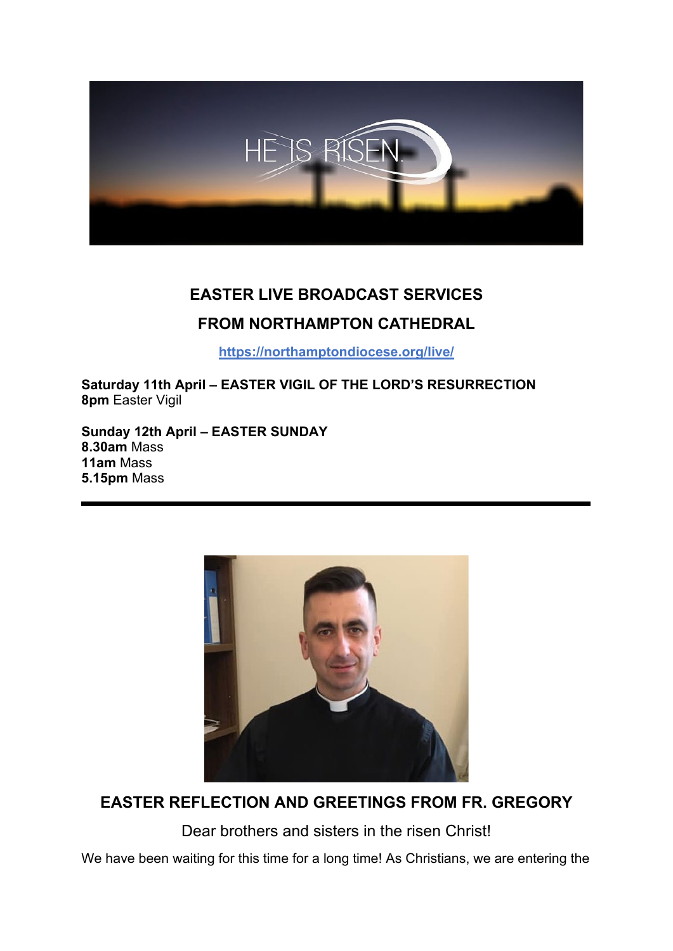

# **EASTER LIVE BROADCAST SERVICES FROM NORTHAMPTON CATHEDRAL**

**<https://northamptondiocese.org/live/>**

**Saturday 11th April – EASTER VIGIL OF THE LORD'S RESURRECTION 8pm** Easter Vigil

**Sunday 12th April – EASTER SUNDAY 8.30am** Mass **11am** Mass **5.15pm** Mass



**EASTER REFLECTION AND GREETINGS FROM FR. GREGORY**

Dear brothers and sisters in the risen Christ!

We have been waiting for this time for a long time! As Christians, we are entering the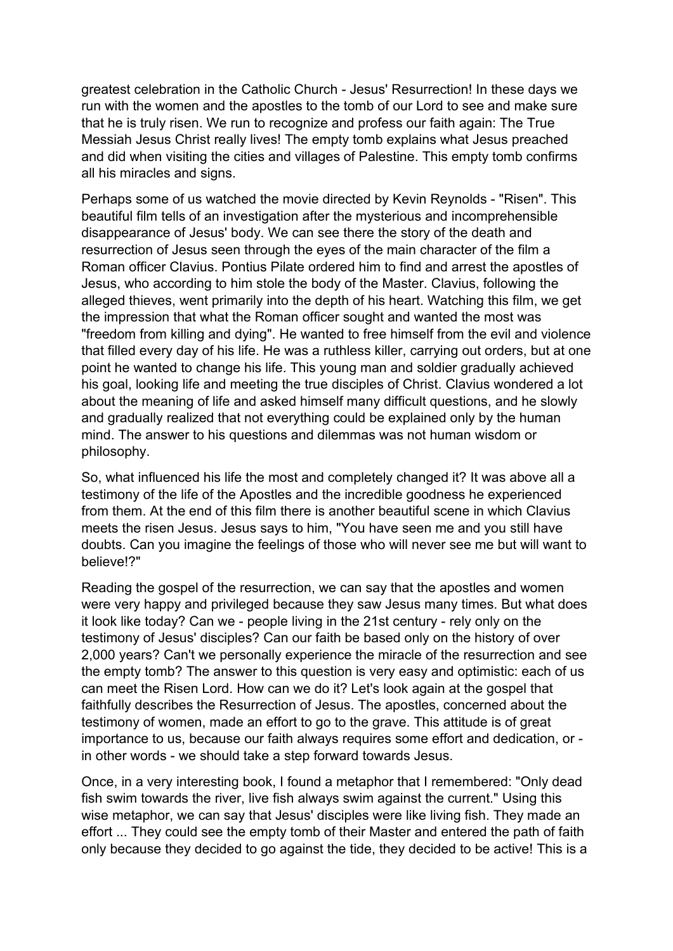greatest celebration in the Catholic Church - Jesus' Resurrection! In these days we run with the women and the apostles to the tomb of our Lord to see and make sure that he is truly risen. We run to recognize and profess our faith again: The True Messiah Jesus Christ really lives! The empty tomb explains what Jesus preached and did when visiting the cities and villages of Palestine. This empty tomb confirms all his miracles and signs.

Perhaps some of us watched the movie directed by Kevin Reynolds - "Risen". This beautiful film tells of an investigation after the mysterious and incomprehensible disappearance of Jesus' body. We can see there the story of the death and resurrection of Jesus seen through the eyes of the main character of the film a Roman officer Clavius. Pontius Pilate ordered him to find and arrest the apostles of Jesus, who according to him stole the body of the Master. Clavius, following the alleged thieves, went primarily into the depth of his heart. Watching this film, we get the impression that what the Roman officer sought and wanted the most was "freedom from killing and dying". He wanted to free himself from the evil and violence that filled every day of his life. He was a ruthless killer, carrying out orders, but at one point he wanted to change his life. This young man and soldier gradually achieved his goal, looking life and meeting the true disciples of Christ. Clavius wondered a lot about the meaning of life and asked himself many difficult questions, and he slowly and gradually realized that not everything could be explained only by the human mind. The answer to his questions and dilemmas was not human wisdom or philosophy.

So, what influenced his life the most and completely changed it? It was above all a testimony of the life of the Apostles and the incredible goodness he experienced from them. At the end of this film there is another beautiful scene in which Clavius meets the risen Jesus. Jesus says to him, "You have seen me and you still have doubts. Can you imagine the feelings of those who will never see me but will want to believe!?"

Reading the gospel of the resurrection, we can say that the apostles and women were very happy and privileged because they saw Jesus many times. But what does it look like today? Can we - people living in the 21st century - rely only on the testimony of Jesus' disciples? Can our faith be based only on the history of over 2,000 years? Can't we personally experience the miracle of the resurrection and see the empty tomb? The answer to this question is very easy and optimistic: each of us can meet the Risen Lord. How can we do it? Let's look again at the gospel that faithfully describes the Resurrection of Jesus. The apostles, concerned about the testimony of women, made an effort to go to the grave. This attitude is of great importance to us, because our faith always requires some effort and dedication, or in other words - we should take a step forward towards Jesus.

Once, in a very interesting book, I found a metaphor that I remembered: "Only dead fish swim towards the river, live fish always swim against the current." Using this wise metaphor, we can say that Jesus' disciples were like living fish. They made an effort ... They could see the empty tomb of their Master and entered the path of faith only because they decided to go against the tide, they decided to be active! This is a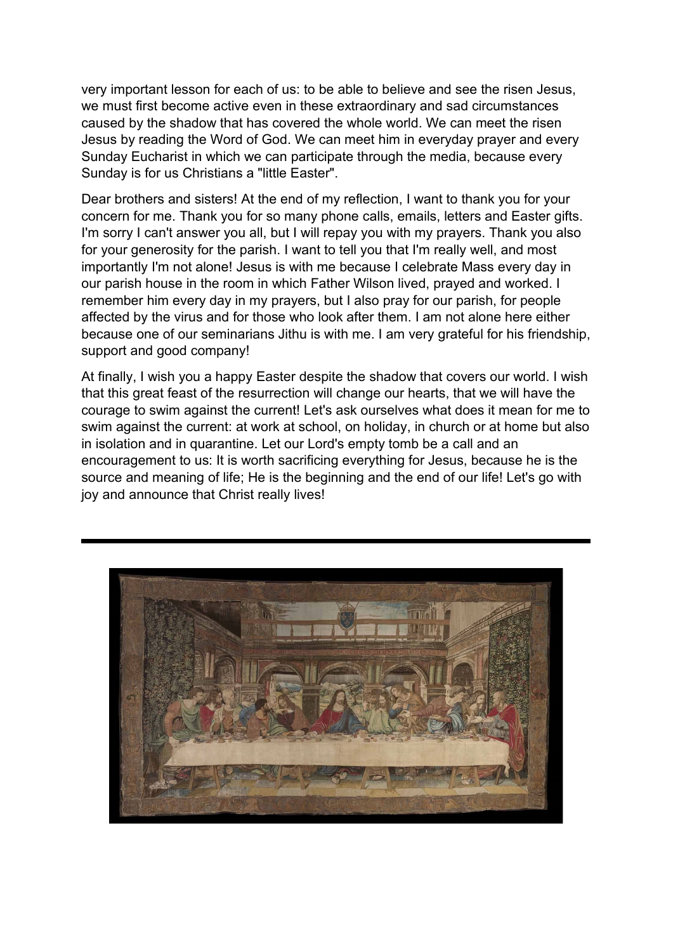very important lesson for each of us: to be able to believe and see the risen Jesus, we must first become active even in these extraordinary and sad circumstances caused by the shadow that has covered the whole world. We can meet the risen Jesus by reading the Word of God. We can meet him in everyday prayer and every Sunday Eucharist in which we can participate through the media, because every Sunday is for us Christians a "little Easter".

Dear brothers and sisters! At the end of my reflection, I want to thank you for your concern for me. Thank you for so many phone calls, emails, letters and Easter gifts. I'm sorry I can't answer you all, but I will repay you with my prayers. Thank you also for your generosity for the parish. I want to tell you that I'm really well, and most importantly I'm not alone! Jesus is with me because I celebrate Mass every day in our parish house in the room in which Father Wilson lived, prayed and worked. I remember him every day in my prayers, but I also pray for our parish, for people affected by the virus and for those who look after them. I am not alone here either because one of our seminarians Jithu is with me. I am very grateful for his friendship, support and good company!

At finally, I wish you a happy Easter despite the shadow that covers our world. I wish that this great feast of the resurrection will change our hearts, that we will have the courage to swim against the current! Let's ask ourselves what does it mean for me to swim against the current: at work at school, on holiday, in church or at home but also in isolation and in quarantine. Let our Lord's empty tomb be a call and an encouragement to us: It is worth sacrificing everything for Jesus, because he is the source and meaning of life; He is the beginning and the end of our life! Let's go with joy and announce that Christ really lives!

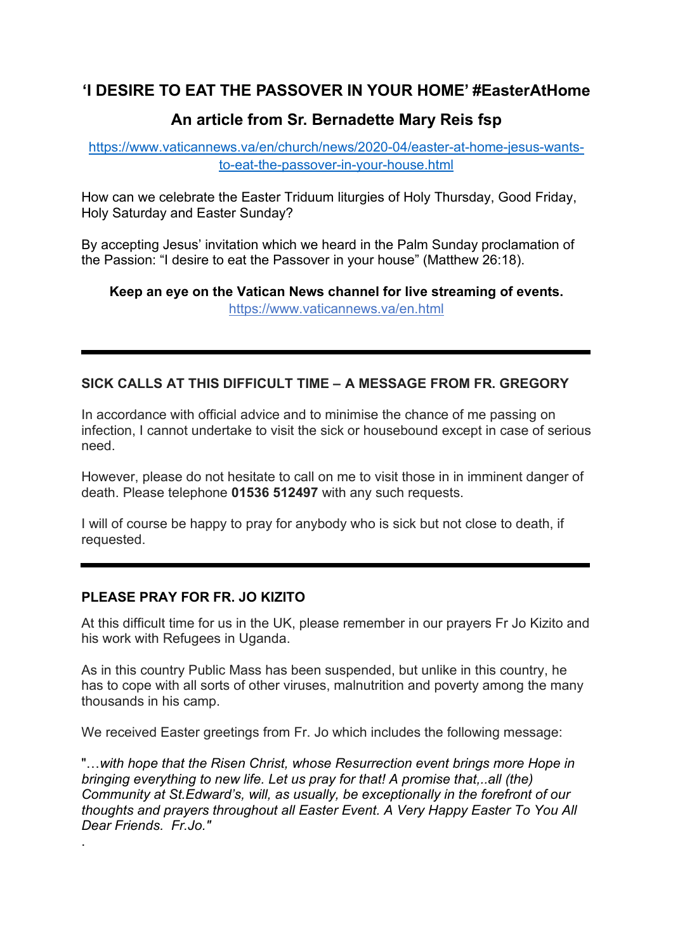## **'I DESIRE TO EAT THE PASSOVER IN YOUR HOME' #EasterAtHome**

## **An article from Sr. Bernadette Mary Reis fsp**

[https://www.vaticannews.va/en/church/news/2020-04/easter-at-home-jesus-wants](https://www.vaticannews.va/en/church/news/2020-04/easter-at-home-jesus-wants-to-eat-the-passover-in-your-house.html)[to-eat-the-passover-in-your-house.html](https://www.vaticannews.va/en/church/news/2020-04/easter-at-home-jesus-wants-to-eat-the-passover-in-your-house.html)

How can we celebrate the Easter Triduum liturgies of Holy Thursday, Good Friday, Holy Saturday and Easter Sunday?

By accepting Jesus' invitation which we heard in the Palm Sunday proclamation of the Passion: "I desire to eat the Passover in your house" (Matthew 26:18).

**Keep an eye on the Vatican News channel for live streaming of events.**  <https://www.vaticannews.va/en.html>

### **SICK CALLS AT THIS DIFFICULT TIME – A MESSAGE FROM FR. GREGORY**

In accordance with official advice and to minimise the chance of me passing on infection, I cannot undertake to visit the sick or housebound except in case of serious need.

However, please do not hesitate to call on me to visit those in in imminent danger of death. Please telephone **01536 512497** with any such requests.

I will of course be happy to pray for anybody who is sick but not close to death, if requested.

### **PLEASE PRAY FOR FR. JO KIZITO**

.

At this difficult time for us in the UK, please remember in our prayers Fr Jo Kizito and his work with Refugees in Uganda.

As in this country Public Mass has been suspended, but unlike in this country, he has to cope with all sorts of other viruses, malnutrition and poverty among the many thousands in his camp.

We received Easter greetings from Fr. Jo which includes the following message:

"…*with hope that the Risen Christ, whose Resurrection event brings more Hope in bringing everything to new life. Let us pray for that! A promise that,..all (the) Community at St.Edward's, will, as usually, be exceptionally in the forefront of our thoughts and prayers throughout all Easter Event. A Very Happy Easter To You All Dear Friends. Fr.Jo."*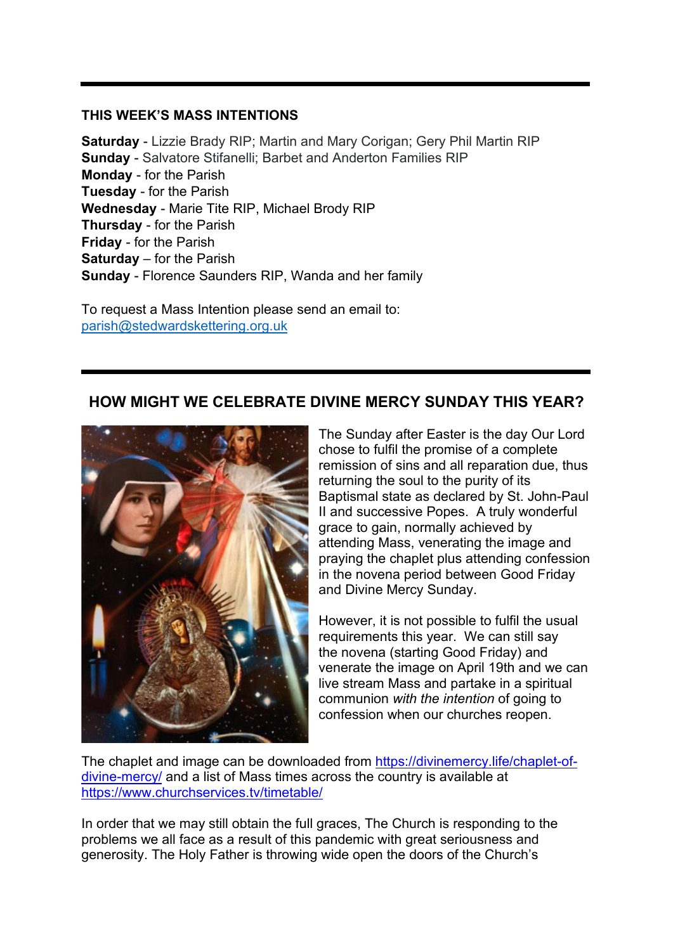#### **THIS WEEK'S MASS INTENTIONS**

**Saturday** - Lizzie Brady RIP; Martin and Mary Corigan; Gery Phil Martin RIP **Sunday** - Salvatore Stifanelli; Barbet and Anderton Families RIP **Monday** - for the Parish **Tuesday** - for the Parish **Wednesday** - Marie Tite RIP, Michael Brody RIP **Thursday** - for the Parish **Friday** - for the Parish **Saturday** – for the Parish **Sunday** - Florence Saunders RIP, Wanda and her family

To request a Mass Intention please send an email to: [parish@stedwardskettering.org.uk](mailto:parish@stedwardskettering.org.uk)

## **HOW MIGHT WE CELEBRATE DIVINE MERCY SUNDAY THIS YEAR?**



The Sunday after Easter is the day Our Lord chose to fulfil the promise of a complete remission of sins and all reparation due, thus returning the soul to the purity of its Baptismal state as declared by St. John-Paul II and successive Popes. A truly wonderful grace to gain, normally achieved by attending Mass, venerating the image and praying the chaplet plus attending confession in the novena period between Good Friday and Divine Mercy Sunday.

However, it is not possible to fulfil the usual requirements this year. We can still say the novena (starting Good Friday) and venerate the image on April 19th and we can live stream Mass and partake in a spiritual communion *with the intention* of going to confession when our churches reopen.

The chaplet and image can be downloaded from [https://divinemercy.life/chaplet-of](https://divinemercy.life/chaplet-of-divine-mercy/)[divine-mercy/](https://divinemercy.life/chaplet-of-divine-mercy/) and a list of Mass times across the country is available at <https://www.churchservices.tv/timetable/>

In order that we may still obtain the full graces, The Church is responding to the problems we all face as a result of this pandemic with great seriousness and generosity. The Holy Father is throwing wide open the doors of the Church's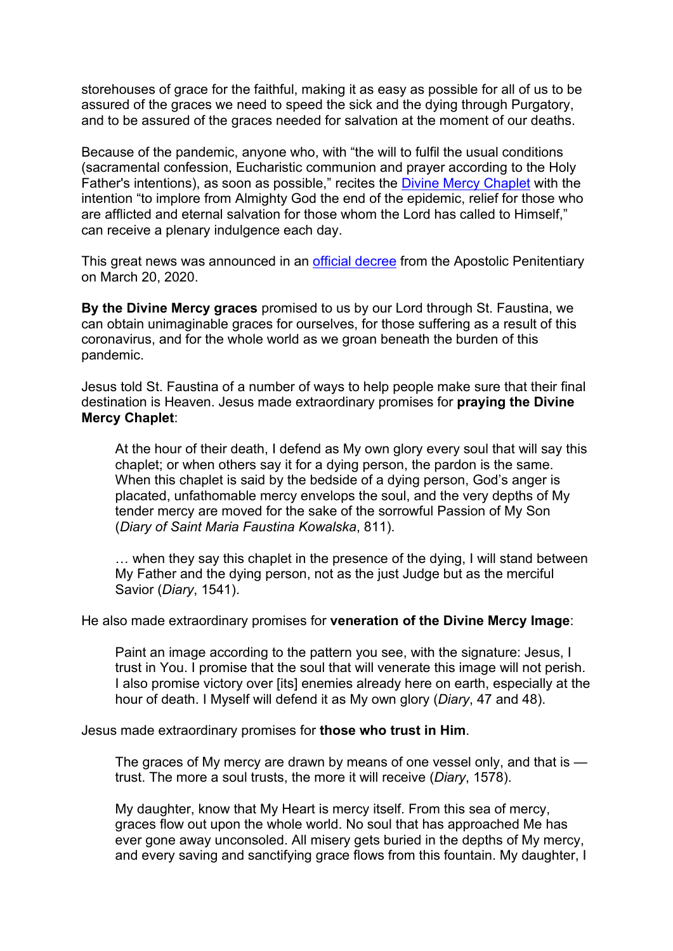storehouses of grace for the faithful, making it as easy as possible for all of us to be assured of the graces we need to speed the sick and the dying through Purgatory, and to be assured of the graces needed for salvation at the moment of our deaths.

Because of the pandemic, anyone who, with "the will to fulfil the usual conditions (sacramental confession, Eucharistic communion and prayer according to the Holy Father's intentions), as soon as possible," recites the [Divine Mercy Chaplet](https://www.thedivinemercy.org/message/devotions/pray-the-chaplet) with the intention "to implore from Almighty God the end of the epidemic, relief for those who are afflicted and eternal salvation for those whom the Lord has called to Himself," can receive a plenary indulgence each day.

This great news was announced in an [official decree](http://press.vatican.va/content/salastampa/en/bollettino/pubblico/2020/03/20/200320c.html) from the Apostolic Penitentiary on March 20, 2020.

**By the Divine Mercy graces** promised to us by our Lord through St. Faustina, we can obtain unimaginable graces for ourselves, for those suffering as a result of this coronavirus, and for the whole world as we groan beneath the burden of this pandemic.

Jesus told St. Faustina of a number of ways to help people make sure that their final destination is Heaven. Jesus made extraordinary promises for **praying the Divine Mercy Chaplet**:

At the hour of their death, I defend as My own glory every soul that will say this chaplet; or when others say it for a dying person, the pardon is the same. When this chaplet is said by the bedside of a dying person, God's anger is placated, unfathomable mercy envelops the soul, and the very depths of My tender mercy are moved for the sake of the sorrowful Passion of My Son (*Diary of Saint Maria Faustina Kowalska*, 811).

… when they say this chaplet in the presence of the dying, I will stand between My Father and the dying person, not as the just Judge but as the merciful Savior (*Diary*, 1541).

He also made extraordinary promises for **veneration of the Divine Mercy Image**:

Paint an image according to the pattern you see, with the signature: Jesus, I trust in You. I promise that the soul that will venerate this image will not perish. I also promise victory over [its] enemies already here on earth, especially at the hour of death. I Myself will defend it as My own glory (*Diary*, 47 and 48).

Jesus made extraordinary promises for **those who trust in Him**.

The graces of My mercy are drawn by means of one vessel only, and that is trust. The more a soul trusts, the more it will receive (*Diary*, 1578).

My daughter, know that My Heart is mercy itself. From this sea of mercy, graces flow out upon the whole world. No soul that has approached Me has ever gone away unconsoled. All misery gets buried in the depths of My mercy, and every saving and sanctifying grace flows from this fountain. My daughter, I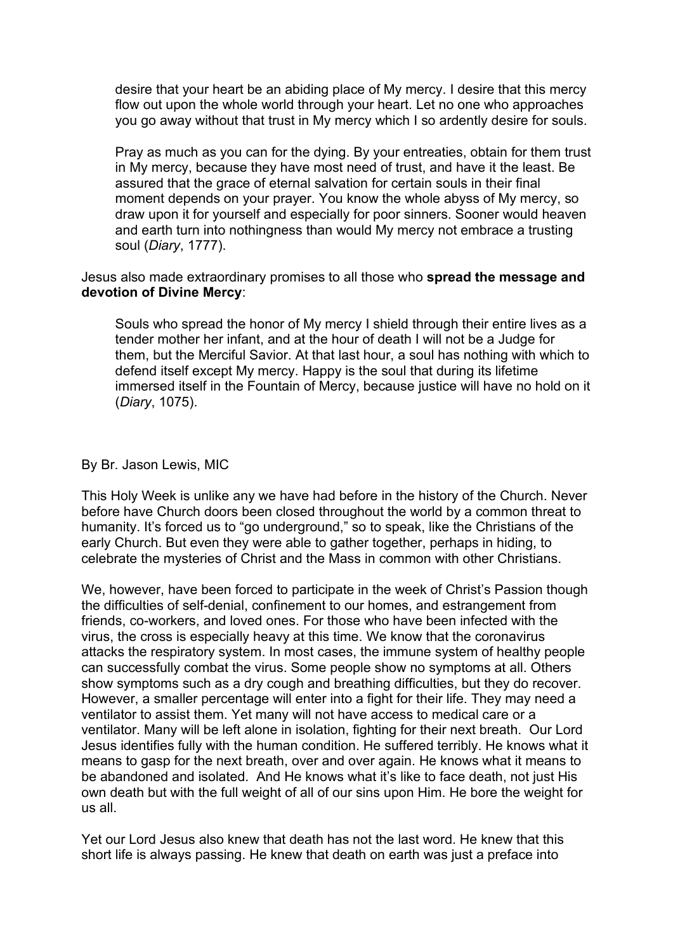desire that your heart be an abiding place of My mercy. I desire that this mercy flow out upon the whole world through your heart. Let no one who approaches you go away without that trust in My mercy which I so ardently desire for souls.

Pray as much as you can for the dying. By your entreaties, obtain for them trust in My mercy, because they have most need of trust, and have it the least. Be assured that the grace of eternal salvation for certain souls in their final moment depends on your prayer. You know the whole abyss of My mercy, so draw upon it for yourself and especially for poor sinners. Sooner would heaven and earth turn into nothingness than would My mercy not embrace a trusting soul (*Diary*, 1777).

#### Jesus also made extraordinary promises to all those who **spread the message and devotion of Divine Mercy**:

Souls who spread the honor of My mercy I shield through their entire lives as a tender mother her infant, and at the hour of death I will not be a Judge for them, but the Merciful Savior. At that last hour, a soul has nothing with which to defend itself except My mercy. Happy is the soul that during its lifetime immersed itself in the Fountain of Mercy, because justice will have no hold on it (*Diary*, 1075).

#### By Br. Jason Lewis, MIC

This Holy Week is unlike any we have had before in the history of the Church. Never before have Church doors been closed throughout the world by a common threat to humanity. It's forced us to "go underground," so to speak, like the Christians of the early Church. But even they were able to gather together, perhaps in hiding, to celebrate the mysteries of Christ and the Mass in common with other Christians.

We, however, have been forced to participate in the week of Christ's Passion though the difficulties of self-denial, confinement to our homes, and estrangement from friends, co-workers, and loved ones. For those who have been infected with the virus, the cross is especially heavy at this time. We know that the coronavirus attacks the respiratory system. In most cases, the immune system of healthy people can successfully combat the virus. Some people show no symptoms at all. Others show symptoms such as a dry cough and breathing difficulties, but they do recover. However, a smaller percentage will enter into a fight for their life. They may need a ventilator to assist them. Yet many will not have access to medical care or a ventilator. Many will be left alone in isolation, fighting for their next breath. Our Lord Jesus identifies fully with the human condition. He suffered terribly. He knows what it means to gasp for the next breath, over and over again. He knows what it means to be abandoned and isolated. And He knows what it's like to face death, not just His own death but with the full weight of all of our sins upon Him. He bore the weight for us all.

Yet our Lord Jesus also knew that death has not the last word. He knew that this short life is always passing. He knew that death on earth was just a preface into